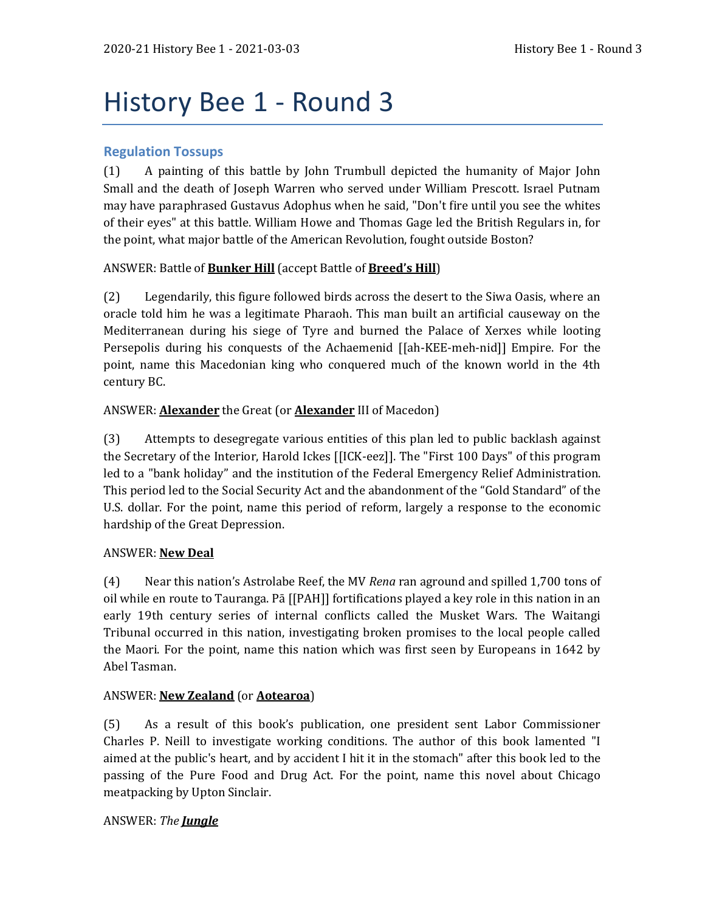# History Bee 1 - Round 3

## **Regulation Tossups**

(1) A painting of this battle by John Trumbull depicted the humanity of Major John Small and the death of Joseph Warren who served under William Prescott. Israel Putnam may have paraphrased Gustavus Adophus when he said, "Don't fire until you see the whites of their eyes" at this battle. William Howe and Thomas Gage led the British Regulars in, for the point, what major battle of the American Revolution, fought outside Boston?

## ANSWER: Battle of **Bunker Hill** (accept Battle of **Breed's Hill**)

(2) Legendarily, this figure followed birds across the desert to the Siwa Oasis, where an oracle told him he was a legitimate Pharaoh. This man built an artificial causeway on the Mediterranean during his siege of Tyre and burned the Palace of Xerxes while looting Persepolis during his conquests of the Achaemenid [[ah-KEE-meh-nid]] Empire. For the point, name this Macedonian king who conquered much of the known world in the 4th century BC.

## ANSWER: **Alexander** the Great (or **Alexander** III of Macedon)

(3) Attempts to desegregate various entities of this plan led to public backlash against the Secretary of the Interior, Harold Ickes [[ICK-eez]]. The "First 100 Days" of this program led to a "bank holiday" and the institution of the Federal Emergency Relief Administration. This period led to the Social Security Act and the abandonment of the "Gold Standard" of the U.S. dollar. For the point, name this period of reform, largely a response to the economic hardship of the Great Depression.

#### ANSWER: **New Deal**

(4) Near this nation's Astrolabe Reef, the MV *Rena* ran aground and spilled 1,700 tons of oil while en route to Tauranga. Pā [[PAH]] fortifications played a key role in this nation in an early 19th century series of internal conflicts called the Musket Wars. The Waitangi Tribunal occurred in this nation, investigating broken promises to the local people called the Maori. For the point, name this nation which was first seen by Europeans in 1642 by Abel Tasman.

## ANSWER: **New Zealand** (or **Aotearoa**)

(5) As a result of this book's publication, one president sent Labor Commissioner Charles P. Neill to investigate working conditions. The author of this book lamented "I aimed at the public's heart, and by accident I hit it in the stomach" after this book led to the passing of the Pure Food and Drug Act. For the point, name this novel about Chicago meatpacking by Upton Sinclair.

#### ANSWER: *The Jungle*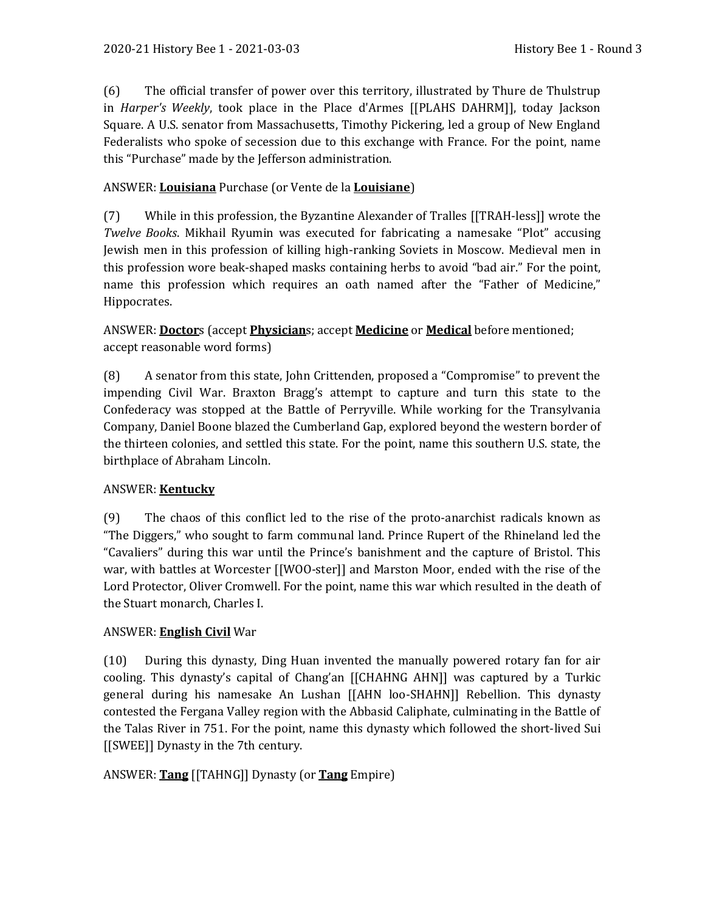(6) The official transfer of power over this territory, illustrated by Thure de Thulstrup in *Harper's Weekly*, took place in the Place d'Armes [[PLAHS DAHRM]], today Jackson Square. A U.S. senator from Massachusetts, Timothy Pickering, led a group of New England Federalists who spoke of secession due to this exchange with France. For the point, name this "Purchase" made by the Jefferson administration.

# ANSWER: **Louisiana** Purchase (or Vente de la **Louisiane**)

(7) While in this profession, the Byzantine Alexander of Tralles [[TRAH-less]] wrote the *Twelve Books*. Mikhail Ryumin was executed for fabricating a namesake "Plot" accusing Jewish men in this profession of killing high-ranking Soviets in Moscow. Medieval men in this profession wore beak-shaped masks containing herbs to avoid "bad air." For the point, name this profession which requires an oath named after the "Father of Medicine," Hippocrates.

ANSWER: **Doctor**s (accept **Physician**s; accept **Medicine** or **Medical** before mentioned; accept reasonable word forms)

(8) A senator from this state, John Crittenden, proposed a "Compromise" to prevent the impending Civil War. Braxton Bragg's attempt to capture and turn this state to the Confederacy was stopped at the Battle of Perryville. While working for the Transylvania Company, Daniel Boone blazed the Cumberland Gap, explored beyond the western border of the thirteen colonies, and settled this state. For the point, name this southern U.S. state, the birthplace of Abraham Lincoln.

## ANSWER: **Kentucky**

(9) The chaos of this conflict led to the rise of the proto-anarchist radicals known as "The Diggers," who sought to farm communal land. Prince Rupert of the Rhineland led the "Cavaliers" during this war until the Prince's banishment and the capture of Bristol. This war, with battles at Worcester [[WOO-ster]] and Marston Moor, ended with the rise of the Lord Protector, Oliver Cromwell. For the point, name this war which resulted in the death of the Stuart monarch, Charles I.

## ANSWER: **English Civil** War

(10) During this dynasty, Ding Huan invented the manually powered rotary fan for air cooling. This dynasty's capital of Chang'an [[CHAHNG AHN]] was captured by a Turkic general during his namesake An Lushan [[AHN loo-SHAHN]] Rebellion. This dynasty contested the Fergana Valley region with the Abbasid Caliphate, culminating in the Battle of the Talas River in 751. For the point, name this dynasty which followed the short-lived Sui [[SWEE]] Dynasty in the 7th century.

ANSWER: **Tang** [[TAHNG]] Dynasty (or **Tang** Empire)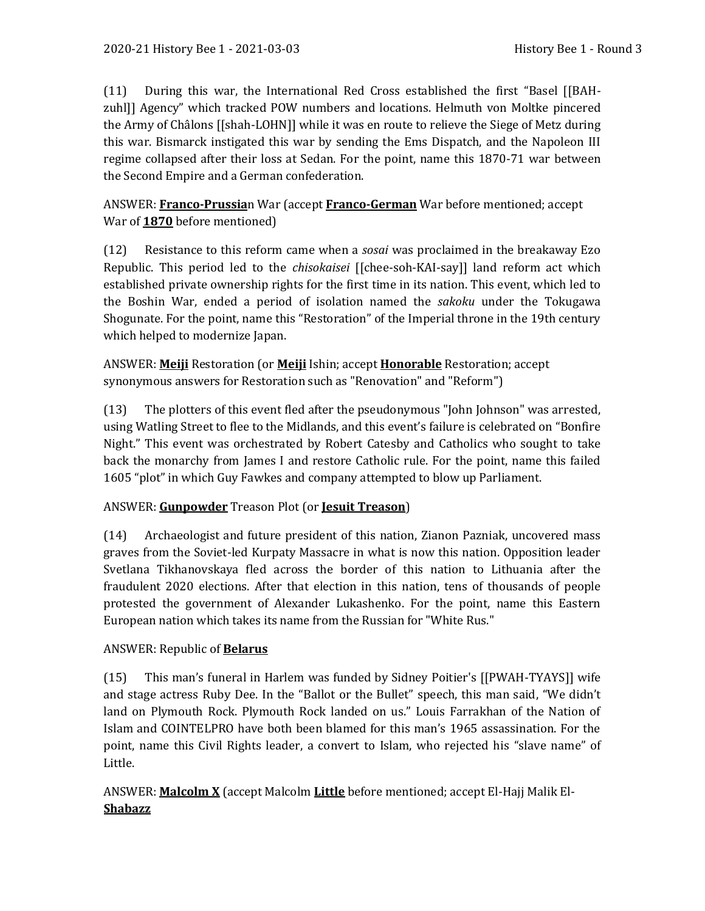(11) During this war, the International Red Cross established the first "Basel [[BAHzuhl]] Agency" which tracked POW numbers and locations. Helmuth von Moltke pincered the Army of Châlons [[shah-LOHN]] while it was en route to relieve the Siege of Metz during this war. Bismarck instigated this war by sending the Ems Dispatch, and the Napoleon III regime collapsed after their loss at Sedan. For the point, name this 1870-71 war between the Second Empire and a German confederation.

ANSWER: **Franco-Prussia**n War (accept **Franco-German** War before mentioned; accept War of **1870** before mentioned)

(12) Resistance to this reform came when a *sosai* was proclaimed in the breakaway Ezo Republic. This period led to the *chisokaisei* [[chee-soh-KAI-say]] land reform act which established private ownership rights for the first time in its nation. This event, which led to the Boshin War, ended a period of isolation named the *sakoku* under the Tokugawa Shogunate. For the point, name this "Restoration" of the Imperial throne in the 19th century which helped to modernize Japan.

ANSWER: **Meiji** Restoration (or **Meiji** Ishin; accept **Honorable** Restoration; accept synonymous answers for Restoration such as "Renovation" and "Reform")

(13) The plotters of this event fled after the pseudonymous "John Johnson" was arrested, using Watling Street to flee to the Midlands, and this event's failure is celebrated on "Bonfire Night." This event was orchestrated by Robert Catesby and Catholics who sought to take back the monarchy from James I and restore Catholic rule. For the point, name this failed 1605 "plot" in which Guy Fawkes and company attempted to blow up Parliament.

## ANSWER: **Gunpowder** Treason Plot (or **Jesuit Treason**)

(14) Archaeologist and future president of this nation, Zianon Pazniak, uncovered mass graves from the Soviet-led Kurpaty Massacre in what is now this nation. Opposition leader Svetlana Tikhanovskaya fled across the border of this nation to Lithuania after the fraudulent 2020 elections. After that election in this nation, tens of thousands of people protested the government of Alexander Lukashenko. For the point, name this Eastern European nation which takes its name from the Russian for "White Rus."

## ANSWER: Republic of **Belarus**

(15) This man's funeral in Harlem was funded by Sidney Poitier's [[PWAH-TYAYS]] wife and stage actress Ruby Dee. In the "Ballot or the Bullet" speech, this man said, "We didn't land on Plymouth Rock. Plymouth Rock landed on us." Louis Farrakhan of the Nation of Islam and COINTELPRO have both been blamed for this man's 1965 assassination. For the point, name this Civil Rights leader, a convert to Islam, who rejected his "slave name" of Little.

ANSWER: **Malcolm X** (accept Malcolm **Little** before mentioned; accept El-Hajj Malik El-**Shabazz**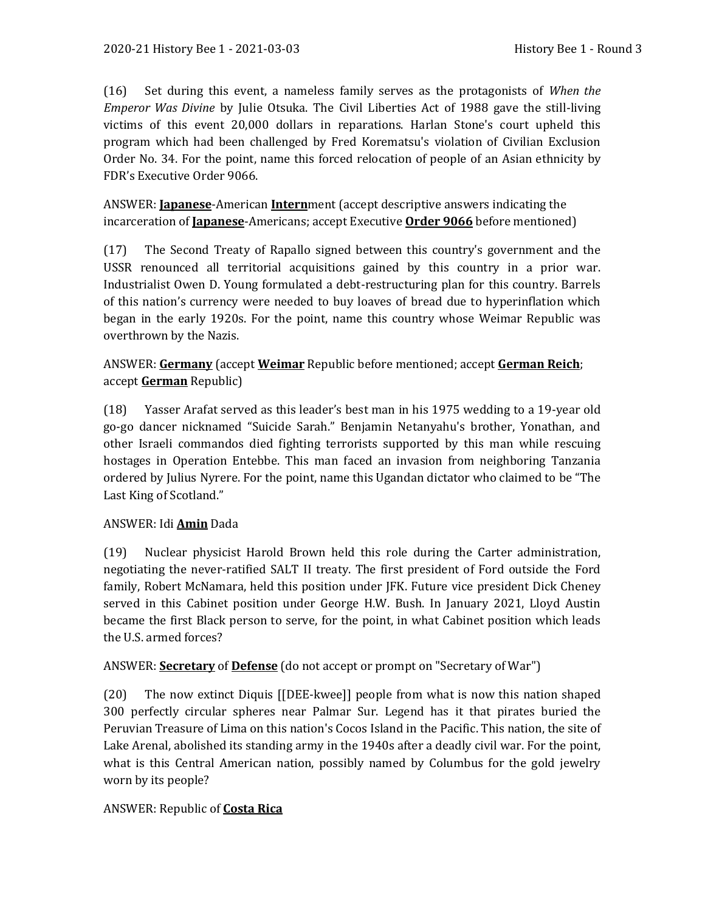(16) Set during this event, a nameless family serves as the protagonists of *When the Emperor Was Divine* by Julie Otsuka. The Civil Liberties Act of 1988 gave the still-living victims of this event 20,000 dollars in reparations. Harlan Stone's court upheld this program which had been challenged by Fred Korematsu's violation of Civilian Exclusion Order No. 34. For the point, name this forced relocation of people of an Asian ethnicity by FDR's Executive Order 9066.

ANSWER: **Japanese**-American **Intern**ment (accept descriptive answers indicating the incarceration of **Japanese**-Americans; accept Executive **Order 9066** before mentioned)

(17) The Second Treaty of Rapallo signed between this country's government and the USSR renounced all territorial acquisitions gained by this country in a prior war. Industrialist Owen D. Young formulated a debt-restructuring plan for this country. Barrels of this nation's currency were needed to buy loaves of bread due to hyperinflation which began in the early 1920s. For the point, name this country whose Weimar Republic was overthrown by the Nazis.

ANSWER: **Germany** (accept **Weimar** Republic before mentioned; accept **German Reich**; accept **German** Republic)

(18) Yasser Arafat served as this leader's best man in his 1975 wedding to a 19-year old go-go dancer nicknamed "Suicide Sarah." Benjamin Netanyahu's brother, Yonathan, and other Israeli commandos died fighting terrorists supported by this man while rescuing hostages in Operation Entebbe. This man faced an invasion from neighboring Tanzania ordered by Julius Nyrere. For the point, name this Ugandan dictator who claimed to be "The Last King of Scotland."

#### ANSWER: Idi **Amin** Dada

(19) Nuclear physicist Harold Brown held this role during the Carter administration, negotiating the never-ratified SALT II treaty. The first president of Ford outside the Ford family, Robert McNamara, held this position under JFK. Future vice president Dick Cheney served in this Cabinet position under George H.W. Bush. In January 2021, Lloyd Austin became the first Black person to serve, for the point, in what Cabinet position which leads the U.S. armed forces?

ANSWER: **Secretary** of **Defense** (do not accept or prompt on "Secretary of War")

(20) The now extinct Diquis [[DEE-kwee]] people from what is now this nation shaped 300 perfectly circular spheres near Palmar Sur. Legend has it that pirates buried the Peruvian Treasure of Lima on this nation's Cocos Island in the Pacific. This nation, the site of Lake Arenal, abolished its standing army in the 1940s after a deadly civil war. For the point, what is this Central American nation, possibly named by Columbus for the gold jewelry worn by its people?

#### ANSWER: Republic of **Costa Rica**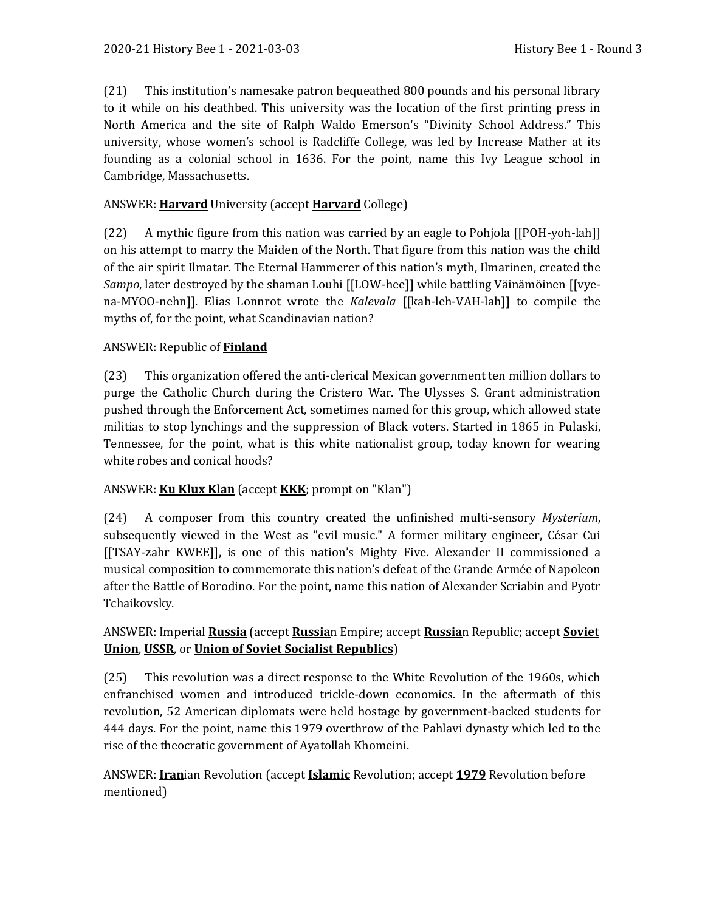(21) This institution's namesake patron bequeathed 800 pounds and his personal library to it while on his deathbed. This university was the location of the first printing press in North America and the site of Ralph Waldo Emerson's "Divinity School Address." This university, whose women's school is Radcliffe College, was led by Increase Mather at its founding as a colonial school in 1636. For the point, name this Ivy League school in Cambridge, Massachusetts.

#### ANSWER: **Harvard** University (accept **Harvard** College)

(22) A mythic figure from this nation was carried by an eagle to Pohjola [[POH-yoh-lah]] on his attempt to marry the Maiden of the North. That figure from this nation was the child of the air spirit Ilmatar. The Eternal Hammerer of this nation's myth, Ilmarinen, created the *Sampo*, later destroyed by the shaman Louhi [[LOW-hee]] while battling Väinämöinen [[vyena-MYOO-nehn]]. Elias Lonnrot wrote the *Kalevala* [[kah-leh-VAH-lah]] to compile the myths of, for the point, what Scandinavian nation?

#### ANSWER: Republic of **Finland**

(23) This organization offered the anti-clerical Mexican government ten million dollars to purge the Catholic Church during the Cristero War. The Ulysses S. Grant administration pushed through the Enforcement Act, sometimes named for this group, which allowed state militias to stop lynchings and the suppression of Black voters. Started in 1865 in Pulaski, Tennessee, for the point, what is this white nationalist group, today known for wearing white robes and conical hoods?

## ANSWER: **Ku Klux Klan** (accept **KKK**; prompt on "Klan")

(24) A composer from this country created the unfinished multi-sensory *Mysterium*, subsequently viewed in the West as "evil music." A former military engineer, César Cui [[TSAY-zahr KWEE]], is one of this nation's Mighty Five. Alexander II commissioned a musical composition to commemorate this nation's defeat of the Grande Armée of Napoleon after the Battle of Borodino. For the point, name this nation of Alexander Scriabin and Pyotr Tchaikovsky.

## ANSWER: Imperial **Russia** (accept **Russia**n Empire; accept **Russia**n Republic; accept **Soviet Union**, **USSR**, or **Union of Soviet Socialist Republics**)

(25) This revolution was a direct response to the White Revolution of the 1960s, which enfranchised women and introduced trickle-down economics. In the aftermath of this revolution, 52 American diplomats were held hostage by government-backed students for 444 days. For the point, name this 1979 overthrow of the Pahlavi dynasty which led to the rise of the theocratic government of Ayatollah Khomeini.

## ANSWER: **Iran**ian Revolution (accept **Islamic** Revolution; accept **1979** Revolution before mentioned)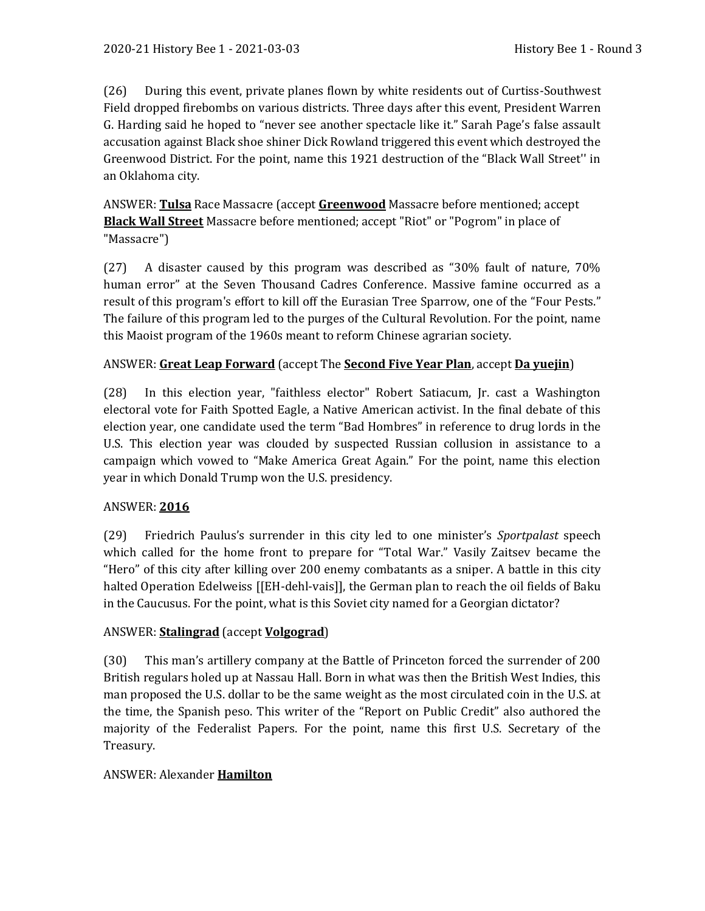(26) During this event, private planes flown by white residents out of Curtiss-Southwest Field dropped firebombs on various districts. Three days after this event, President Warren G. Harding said he hoped to "never see another spectacle like it." Sarah Page's false assault accusation against Black shoe shiner Dick Rowland triggered this event which destroyed the Greenwood District. For the point, name this 1921 destruction of the "Black Wall Street'' in an Oklahoma city.

ANSWER: **Tulsa** Race Massacre (accept **Greenwood** Massacre before mentioned; accept **Black Wall Street** Massacre before mentioned; accept "Riot" or "Pogrom" in place of "Massacre")

(27) A disaster caused by this program was described as "30% fault of nature, 70% human error" at the Seven Thousand Cadres Conference. Massive famine occurred as a result of this program's effort to kill off the Eurasian Tree Sparrow, one of the "Four Pests." The failure of this program led to the purges of the Cultural Revolution. For the point, name this Maoist program of the 1960s meant to reform Chinese agrarian society.

#### ANSWER: **Great Leap Forward** (accept The **Second Five Year Plan**, accept **Da yuejin**)

(28) In this election year, "faithless elector" Robert Satiacum, Jr. cast a Washington electoral vote for Faith Spotted Eagle, a Native American activist. In the final debate of this election year, one candidate used the term "Bad Hombres" in reference to drug lords in the U.S. This election year was clouded by suspected Russian collusion in assistance to a campaign which vowed to "Make America Great Again." For the point, name this election year in which Donald Trump won the U.S. presidency.

#### ANSWER: **2016**

(29) Friedrich Paulus's surrender in this city led to one minister's *Sportpalast* speech which called for the home front to prepare for "Total War." Vasily Zaitsev became the "Hero" of this city after killing over 200 enemy combatants as a sniper. A battle in this city halted Operation Edelweiss [[EH-dehl-vais]], the German plan to reach the oil fields of Baku in the Caucusus. For the point, what is this Soviet city named for a Georgian dictator?

#### ANSWER: **Stalingrad** (accept **Volgograd**)

(30) This man's artillery company at the Battle of Princeton forced the surrender of 200 British regulars holed up at Nassau Hall. Born in what was then the British West Indies, this man proposed the U.S. dollar to be the same weight as the most circulated coin in the U.S. at the time, the Spanish peso. This writer of the "Report on Public Credit" also authored the majority of the Federalist Papers. For the point, name this first U.S. Secretary of the Treasury.

#### ANSWER: Alexander **Hamilton**